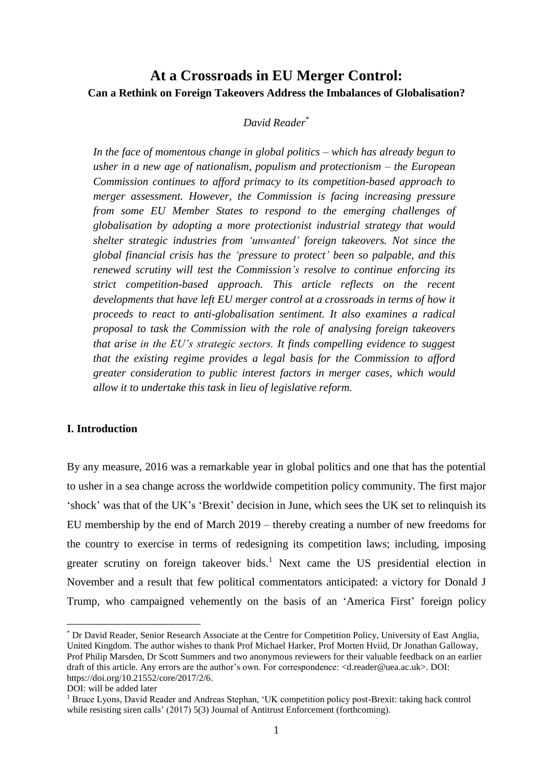# **At a Crossroads in EU Merger Control: Can a Rethink on Foreign Takeovers Address the Imbalances of Globalisation?**

# *David Reader*\*

*In the face of momentous change in global politics – which has already begun to usher in a new age of nationalism, populism and protectionism – the European Commission continues to afford primacy to its competition-based approach to merger assessment. However, the Commission is facing increasing pressure from some EU Member States to respond to the emerging challenges of globalisation by adopting a more protectionist industrial strategy that would shelter strategic industries from 'unwanted' foreign takeovers. Not since the global financial crisis has the 'pressure to protect' been so palpable, and this renewed scrutiny will test the Commission's resolve to continue enforcing its strict competition-based approach. This article reflects on the recent developments that have left EU merger control at a crossroads in terms of how it proceeds to react to anti-globalisation sentiment. It also examines a radical proposal to task the Commission with the role of analysing foreign takeovers that arise in the EU's strategic sectors. It finds compelling evidence to suggest that the existing regime provides a legal basis for the Commission to afford greater consideration to public interest factors in merger cases, which would allow it to undertake this task in lieu of legislative reform.*

# **I. Introduction**

By any measure, 2016 was a remarkable year in global politics and one that has the potential to usher in a sea change across the worldwide competition policy community. The first major 'shock' was that of the UK's 'Brexit' decision in June, which sees the UK set to relinquish its EU membership by the end of March 2019 – thereby creating a number of new freedoms for the country to exercise in terms of redesigning its competition laws; including, imposing greater scrutiny on foreign takeover bids. <sup>1</sup> Next came the US presidential election in November and a result that few political commentators anticipated: a victory for Donald J Trump, who campaigned vehemently on the basis of an 'America First' foreign policy

<sup>\*</sup> Dr David Reader, Senior Research Associate at the Centre for Competition Policy, University of East Anglia, United Kingdom. The author wishes to thank Prof Michael Harker, Prof Morten Hviid, Dr Jonathan Galloway, Prof Philip Marsden, Dr Scott Summers and two anonymous reviewers for their valuable feedback on an earlier draft of this article. Any errors are the author's own. For correspondence: [<d.reader@uea.ac.uk>](mailto:d.reader@uea.ac.uk). DOI: [https://doi.org/10.21552/core/2017/2/6.](https://doi.org/10.21552/core/2017/2/6)

DOI: will be added later

<sup>&</sup>lt;sup>1</sup> Bruce Lyons, David Reader and Andreas Stephan, 'UK competition policy post-Brexit: taking back control while resisting siren calls' (2017) 5(3) Journal of Antitrust Enforcement (forthcoming).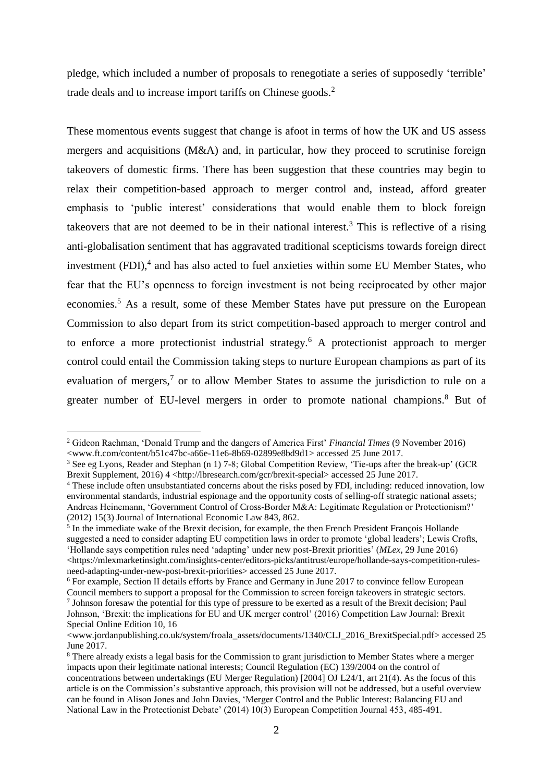pledge, which included a number of proposals to renegotiate a series of supposedly 'terrible' trade deals and to increase import tariffs on Chinese goods. 2

These momentous events suggest that change is afoot in terms of how the UK and US assess mergers and acquisitions (M&A) and, in particular, how they proceed to scrutinise foreign takeovers of domestic firms. There has been suggestion that these countries may begin to relax their competition-based approach to merger control and, instead, afford greater emphasis to 'public interest' considerations that would enable them to block foreign takeovers that are not deemed to be in their national interest.<sup>3</sup> This is reflective of a rising anti-globalisation sentiment that has aggravated traditional scepticisms towards foreign direct investment  $(FDI)^4$  and has also acted to fuel anxieties within some EU Member States, who fear that the EU's openness to foreign investment is not being reciprocated by other major economies.<sup>5</sup> As a result, some of these Member States have put pressure on the European Commission to also depart from its strict competition-based approach to merger control and to enforce a more protectionist industrial strategy. <sup>6</sup> A protectionist approach to merger control could entail the Commission taking steps to nurture European champions as part of its evaluation of mergers,<sup>7</sup> or to allow Member States to assume the jurisdiction to rule on a greater number of EU-level mergers in order to promote national champions. <sup>8</sup> But of

<sup>2</sup> Gideon Rachman, 'Donald Trump and the dangers of America First' *Financial Times* (9 November 2016)  $\langle$ www.ft.com/content/b51c47bc-a66e-11e6-8b69-02899e8bd9d1> accessed 25 June 2017.

<sup>3</sup> See eg Lyons, Reader and Stephan (n 1) 7-8; Global Competition Review, 'Tie-ups after the break-up' (GCR Brexit Supplement, 2016) 4 [<http://lbresearch.com/gcr/brexit-special>](http://lbresearch.com/gcr/brexit-special) accessed 25 June 2017.

<sup>4</sup> These include often unsubstantiated concerns about the risks posed by FDI, including: reduced innovation, low environmental standards, industrial espionage and the opportunity costs of selling-off strategic national assets; Andreas Heinemann, 'Government Control of Cross-Border M&A: Legitimate Regulation or Protectionism?' (2012) 15(3) Journal of International Economic Law 843, 862.

<sup>&</sup>lt;sup>5</sup> In the immediate wake of the Brexit decision, for example, the then French President François Hollande suggested a need to consider adapting EU competition laws in order to promote 'global leaders'; Lewis Crofts, 'Hollande says competition rules need 'adapting' under new post-Brexit priorities' (*MLex*, 29 June 2016)  $\lt$ https://mlexmarketinsight.com/insights-center/editors-picks/antitrust/europe/hollande-says-competition-rules[need-adapting-under-new-post-brexit-priorities>](https://mlexmarketinsight.com/insights-center/editors-picks/antitrust/europe/hollande-says-competition-rules-need-adapting-under-new-post-brexit-priorities) accessed 25 June 2017.

<sup>6</sup> For example, Section II details efforts by France and Germany in June 2017 to convince fellow European Council members to support a proposal for the Commission to screen foreign takeovers in strategic sectors.

<sup>&</sup>lt;sup>7</sup> Johnson foresaw the potential for this type of pressure to be exerted as a result of the Brexit decision; Paul Johnson, 'Brexit: the implications for EU and UK merger control' (2016) Competition Law Journal: Brexit Special Online Edition 10, 16

[<sup>&</sup>lt;www.jordanpublishing.co.uk/system/froala\\_assets/documents/1340/CLJ\\_2016\\_BrexitSpecial.pdf>](www.jordanpublishing.co.uk/system/froala_assets/documents/1340/CLJ_2016_BrexitSpecial.pdf) accessed 25 June 2017.

<sup>8</sup> There already exists a legal basis for the Commission to grant jurisdiction to Member States where a merger impacts upon their legitimate national interests; Council Regulation (EC) 139/2004 on the control of concentrations between undertakings (EU Merger Regulation) [2004] OJ L24/1, art 21(4). As the focus of this article is on the Commission's substantive approach, this provision will not be addressed, but a useful overview can be found in Alison Jones and John Davies, 'Merger Control and the Public Interest: Balancing EU and National Law in the Protectionist Debate' (2014) 10(3) European Competition Journal 453, 485-491.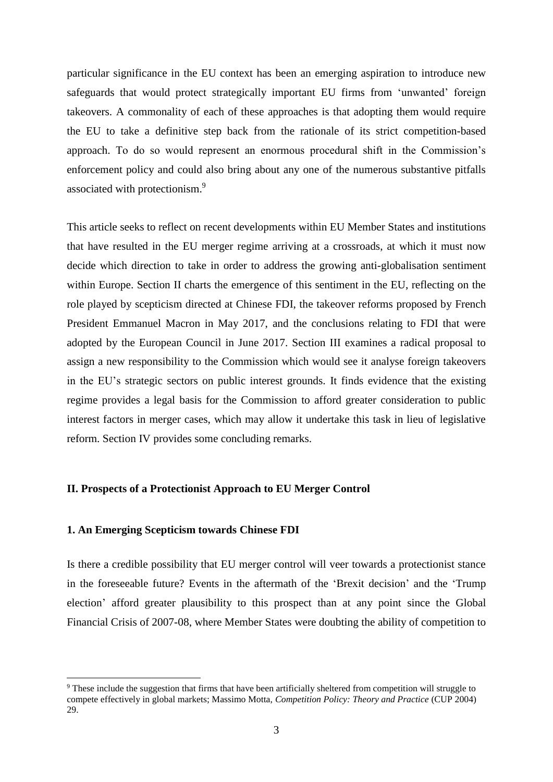particular significance in the EU context has been an emerging aspiration to introduce new safeguards that would protect strategically important EU firms from 'unwanted' foreign takeovers. A commonality of each of these approaches is that adopting them would require the EU to take a definitive step back from the rationale of its strict competition-based approach. To do so would represent an enormous procedural shift in the Commission's enforcement policy and could also bring about any one of the numerous substantive pitfalls associated with protectionism.<sup>9</sup>

This article seeks to reflect on recent developments within EU Member States and institutions that have resulted in the EU merger regime arriving at a crossroads, at which it must now decide which direction to take in order to address the growing anti-globalisation sentiment within Europe. Section II charts the emergence of this sentiment in the EU, reflecting on the role played by scepticism directed at Chinese FDI, the takeover reforms proposed by French President Emmanuel Macron in May 2017, and the conclusions relating to FDI that were adopted by the European Council in June 2017. Section III examines a radical proposal to assign a new responsibility to the Commission which would see it analyse foreign takeovers in the EU's strategic sectors on public interest grounds. It finds evidence that the existing regime provides a legal basis for the Commission to afford greater consideration to public interest factors in merger cases, which may allow it undertake this task in lieu of legislative reform. Section IV provides some concluding remarks.

#### **II. Prospects of a Protectionist Approach to EU Merger Control**

## **1. An Emerging Scepticism towards Chinese FDI**

1

Is there a credible possibility that EU merger control will veer towards a protectionist stance in the foreseeable future? Events in the aftermath of the 'Brexit decision' and the 'Trump election' afford greater plausibility to this prospect than at any point since the Global Financial Crisis of 2007-08, where Member States were doubting the ability of competition to

<sup>9</sup> These include the suggestion that firms that have been artificially sheltered from competition will struggle to compete effectively in global markets; Massimo Motta, *Competition Policy: Theory and Practice* (CUP 2004) 29.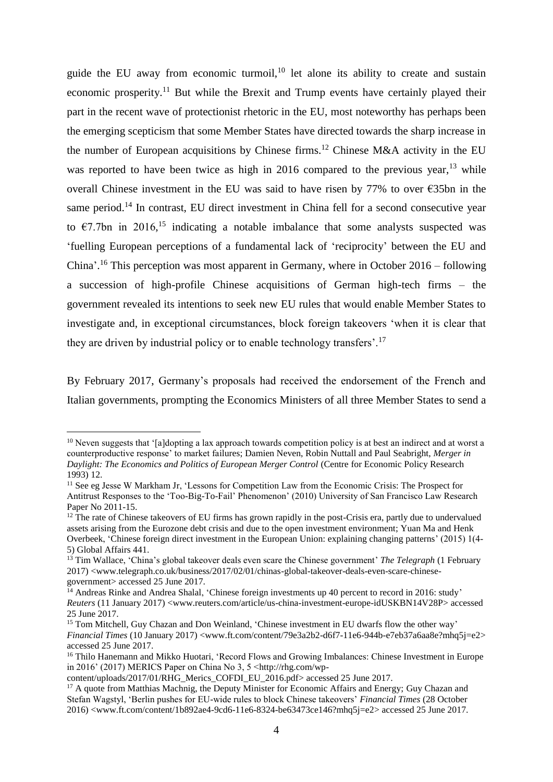guide the EU away from economic turmoil, $10$  let alone its ability to create and sustain economic prosperity.<sup>11</sup> But while the Brexit and Trump events have certainly played their part in the recent wave of protectionist rhetoric in the EU, most noteworthy has perhaps been the emerging scepticism that some Member States have directed towards the sharp increase in the number of European acquisitions by Chinese firms.<sup>12</sup> Chinese M&A activity in the EU was reported to have been twice as high in 2016 compared to the previous year, $^{13}$  while overall Chinese investment in the EU was said to have risen by 77% to over €35bn in the same period.<sup>14</sup> In contrast, EU direct investment in China fell for a second consecutive year to  $\epsilon$ 7.7bn in 2016,<sup>15</sup> indicating a notable imbalance that some analysts suspected was 'fuelling European perceptions of a fundamental lack of 'reciprocity' between the EU and China'.<sup>16</sup> This perception was most apparent in Germany, where in October 2016 – following a succession of high-profile Chinese acquisitions of German high-tech firms – the government revealed its intentions to seek new EU rules that would enable Member States to investigate and, in exceptional circumstances, block foreign takeovers 'when it is clear that they are driven by industrial policy or to enable technology transfers'.<sup>17</sup>

By February 2017, Germany's proposals had received the endorsement of the French and Italian governments, prompting the Economics Ministers of all three Member States to send a

 $10$  Neven suggests that '[a]dopting a lax approach towards competition policy is at best an indirect and at worst a counterproductive response' to market failures; Damien Neven, Robin Nuttall and Paul Seabright, *Merger in Daylight: The Economics and Politics of European Merger Control* (Centre for Economic Policy Research 1993) 12.

<sup>&</sup>lt;sup>11</sup> See eg Jesse W Markham Jr, 'Lessons for Competition Law from the Economic Crisis: The Prospect for Antitrust Responses to the 'Too-Big-To-Fail' Phenomenon' (2010) University of San Francisco Law Research Paper No 2011-15.

<sup>&</sup>lt;sup>12</sup> The rate of Chinese takeovers of EU firms has grown rapidly in the post-Crisis era, partly due to undervalued assets arising from the Eurozone debt crisis and due to the open investment environment; Yuan Ma and Henk Overbeek, 'Chinese foreign direct investment in the European Union: explaining changing patterns' (2015) 1(4- 5) Global Affairs 441.

<sup>&</sup>lt;sup>13</sup> Tim Wallace, 'China's global takeover deals even scare the Chinese government' *The Telegraph* (1 February 2017) [<www.telegraph.co.uk/business/2017/02/01/chinas-global-takeover-deals-even-scare-chinese](http://www.telegraph.co.uk/business/2017/02/01/chinas-global-takeover-deals-even-scare-chinese-government)[government>](http://www.telegraph.co.uk/business/2017/02/01/chinas-global-takeover-deals-even-scare-chinese-government) accessed 25 June 2017.

<sup>&</sup>lt;sup>14</sup> Andreas Rinke and Andrea Shalal, 'Chinese foreign investments up 40 percent to record in 2016: study' *Reuters* (11 January 2017) [<www.reuters.com/article/us-china-investment-europe-idUSKBN14V28P>](www.reuters.com/article/us-china-investment-europe-idUSKBN14V28P) accessed 25 June 2017.

<sup>&</sup>lt;sup>15</sup> Tom Mitchell, Guy Chazan and Don Weinland, 'Chinese investment in EU dwarfs flow the other way' *Financial Times* (10 January 2017) [<www.ft.com/content/79e3a2b2-d6f7-11e6-944b-e7eb37a6aa8e?mhq5j=e2>](www.ft.com/content/79e3a2b2-d6f7-11e6-944b-e7eb37a6aa8e?mhq5j=e2) accessed 25 June 2017.

<sup>&</sup>lt;sup>16</sup> Thilo Hanemann and Mikko Huotari, 'Record Flows and Growing Imbalances: Chinese Investment in Europe in 2016' (2017) MERICS Paper on China No 3,  $5 \leq \frac{\text{http://rho.com/wp-}}{\text{http://rho.com/wp-}}$ 

[content/uploads/2017/01/RHG\\_Merics\\_COFDI\\_EU\\_2016.pdf>](http://rhg.com/wp-content/uploads/2017/01/RHG_Merics_COFDI_EU_2016.pdf) accessed 25 June 2017.

<sup>&</sup>lt;sup>17</sup> A quote from Matthias Machnig, the Deputy Minister for Economic Affairs and Energy; Guy Chazan and Stefan Wagstyl, 'Berlin pushes for EU-wide rules to block Chinese takeovers' *Financial Times* (28 October 2016) [<www.ft.com/content/1b892ae4-9cd6-11e6-8324-be63473ce146?mhq5j=e2>](www.ft.com/content/1b892ae4-9cd6-11e6-8324-be63473ce146?mhq5j=e2) accessed 25 June 2017.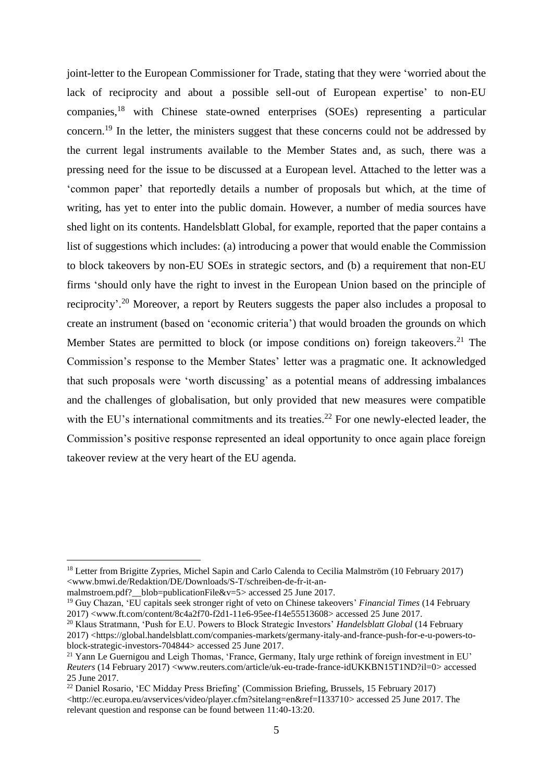joint-letter to the European Commissioner for Trade, stating that they were 'worried about the lack of reciprocity and about a possible sell-out of European expertise' to non-EU companies,<sup>18</sup> with Chinese state-owned enterprises (SOEs) representing a particular concern.<sup>19</sup> In the letter, the ministers suggest that these concerns could not be addressed by the current legal instruments available to the Member States and, as such, there was a pressing need for the issue to be discussed at a European level. Attached to the letter was a 'common paper' that reportedly details a number of proposals but which, at the time of writing, has yet to enter into the public domain. However, a number of media sources have shed light on its contents. Handelsblatt Global, for example, reported that the paper contains a list of suggestions which includes: (a) introducing a power that would enable the Commission to block takeovers by non-EU SOEs in strategic sectors, and (b) a requirement that non-EU firms 'should only have the right to invest in the European Union based on the principle of reciprocity'.<sup>20</sup> Moreover, a report by Reuters suggests the paper also includes a proposal to create an instrument (based on 'economic criteria') that would broaden the grounds on which Member States are permitted to block (or impose conditions on) foreign takeovers.<sup>21</sup> The Commission's response to the Member States' letter was a pragmatic one. It acknowledged that such proposals were 'worth discussing' as a potential means of addressing imbalances and the challenges of globalisation, but only provided that new measures were compatible with the EU's international commitments and its treaties.<sup>22</sup> For one newly-elected leader, the Commission's positive response represented an ideal opportunity to once again place foreign takeover review at the very heart of the EU agenda.

<sup>18</sup> Letter from Brigitte Zypries, Michel Sapin and Carlo Calenda to Cecilia Malmström (10 February 2017) [<www.bmwi.de/Redaktion/DE/Downloads/S-T/schreiben-de-fr-it-an-](www.bmwi.de/Redaktion/DE/Downloads/S-T/schreiben-de-fr-it-an-malmstroem.pdf?__blob=publicationFile&v=5)

malmstroem.pdf?\_blob=publicationFile&v=5> accessed 25 June 2017.

<sup>19</sup> Guy Chazan, 'EU capitals seek stronger right of veto on Chinese takeovers' *Financial Times* (14 February 2017) [<www.ft.com/content/8c4a2f70-f2d1-11e6-95ee-f14e55513608>](www.ft.com/content/8c4a2f70-f2d1-11e6-95ee-f14e55513608) accessed 25 June 2017.

<sup>20</sup> Klaus Stratmann, 'Push for E.U. Powers to Block Strategic Investors' *Handelsblatt Global* (14 February 2017) [<https://global.handelsblatt.com/companies-markets/germany-italy-and-france-push-for-e-u-powers-to](https://global.handelsblatt.com/companies-markets/germany-italy-and-france-push-for-e-u-powers-to-block-strategic-investors-704844)[block-strategic-investors-704844>](https://global.handelsblatt.com/companies-markets/germany-italy-and-france-push-for-e-u-powers-to-block-strategic-investors-704844) accessed 25 June 2017.

<sup>&</sup>lt;sup>21</sup> Yann Le Guernigou and Leigh Thomas, 'France, Germany, Italy urge rethink of foreign investment in EU' *Reuters* (14 February 2017) [<www.reuters.com/article/uk-eu-trade-france-idUKKBN15T1ND?il=0>](www.reuters.com/article/uk-eu-trade-france-idUKKBN15T1ND?il=0) accessed 25 June 2017.

<sup>22</sup> Daniel Rosario, 'EC Midday Press Briefing' (Commission Briefing, Brussels, 15 February 2017) [<http://ec.europa.eu/avservices/video/player.cfm?sitelang=en&ref=I133710>](http://ec.europa.eu/avservices/video/player.cfm?sitelang=en&ref=I133710) accessed 25 June 2017. The relevant question and response can be found between 11:40-13:20.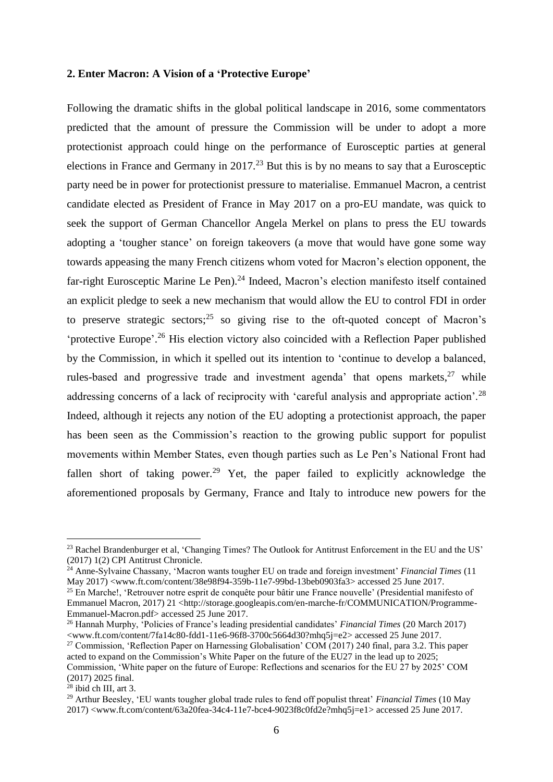#### **2. Enter Macron: A Vision of a 'Protective Europe'**

Following the dramatic shifts in the global political landscape in 2016, some commentators predicted that the amount of pressure the Commission will be under to adopt a more protectionist approach could hinge on the performance of Eurosceptic parties at general elections in France and Germany in 2017.<sup>23</sup> But this is by no means to say that a Eurosceptic party need be in power for protectionist pressure to materialise. Emmanuel Macron, a centrist candidate elected as President of France in May 2017 on a pro-EU mandate, was quick to seek the support of German Chancellor Angela Merkel on plans to press the EU towards adopting a 'tougher stance' on foreign takeovers (a move that would have gone some way towards appeasing the many French citizens whom voted for Macron's election opponent, the far-right Eurosceptic Marine Le Pen).<sup>24</sup> Indeed, Macron's election manifesto itself contained an explicit pledge to seek a new mechanism that would allow the EU to control FDI in order to preserve strategic sectors; $25$  so giving rise to the oft-quoted concept of Macron's 'protective Europe'.<sup>26</sup> His election victory also coincided with a Reflection Paper published by the Commission, in which it spelled out its intention to 'continue to develop a balanced, rules-based and progressive trade and investment agenda' that opens markets, $27$  while addressing concerns of a lack of reciprocity with 'careful analysis and appropriate action'.<sup>28</sup> Indeed, although it rejects any notion of the EU adopting a protectionist approach, the paper has been seen as the Commission's reaction to the growing public support for populist movements within Member States, even though parties such as Le Pen's National Front had fallen short of taking power.<sup>29</sup> Yet, the paper failed to explicitly acknowledge the aforementioned proposals by Germany, France and Italy to introduce new powers for the

<sup>&</sup>lt;sup>23</sup> Rachel Brandenburger et al, 'Changing Times? The Outlook for Antitrust Enforcement in the EU and the US' (2017) 1(2) CPI Antitrust Chronicle.

<sup>24</sup> Anne-Sylvaine Chassany, 'Macron wants tougher EU on trade and foreign investment' *Financial Times* (11 May 2017) [<www.ft.com/content/38e98f94-359b-11e7-99bd-13beb0903fa3>](www.ft.com/content/38e98f94-359b-11e7-99bd-13beb0903fa3) accessed 25 June 2017.

<sup>25</sup> En Marche!, 'Retrouver notre esprit de conquête pour bâtir une France nouvelle' (Presidential manifesto of Emmanuel Macron, 2017) 21 [<http://storage.googleapis.com/en-marche-fr/COMMUNICATION/Programme-](http://storage.googleapis.com/en-marche-fr/COMMUNICATION/Programme-Emmanuel-Macron.pdf)[Emmanuel-Macron.pdf>](http://storage.googleapis.com/en-marche-fr/COMMUNICATION/Programme-Emmanuel-Macron.pdf) accessed 25 June 2017.

<sup>26</sup> Hannah Murphy, 'Policies of France's leading presidential candidates' *Financial Times* (20 March 2017)  $\langle$ www.ft.com/content/7fa14c80-fdd1-11e6-96f8-3700c5664d30?mhq5j=e2> accessed 25 June 2017.

<sup>&</sup>lt;sup>27</sup> Commission, 'Reflection Paper on Harnessing Globalisation' COM (2017) 240 final, para 3.2. This paper acted to expand on the Commission's White Paper on the future of the EU27 in the lead up to 2025; Commission, 'White paper on the future of Europe: Reflections and scenarios for the EU 27 by 2025' COM

<sup>(2017) 2025</sup> final.  $28$  ibid ch III, art 3.

<sup>29</sup> Arthur Beesley, 'EU wants tougher global trade rules to fend off populist threat' *Financial Times* (10 May 2017) [<www.ft.com/content/63a20fea-34c4-11e7-bce4-9023f8c0fd2e?mhq5j=e1>](http://www.ft.com/content/63a20fea-34c4-11e7-bce4-9023f8c0fd2e?mhq5j=e1) accessed 25 June 2017.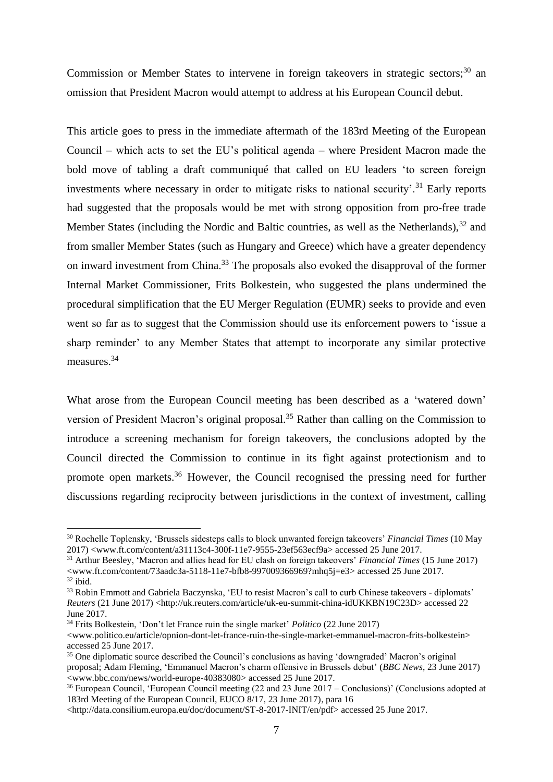Commission or Member States to intervene in foreign takeovers in strategic sectors;<sup>30</sup> an omission that President Macron would attempt to address at his European Council debut.

This article goes to press in the immediate aftermath of the 183rd Meeting of the European Council – which acts to set the EU's political agenda – where President Macron made the bold move of tabling a draft communiqué that called on EU leaders 'to screen foreign investments where necessary in order to mitigate risks to national security.<sup>31</sup> Early reports had suggested that the proposals would be met with strong opposition from pro-free trade Member States (including the Nordic and Baltic countries, as well as the Netherlands).<sup>32</sup> and from smaller Member States (such as Hungary and Greece) which have a greater dependency on inward investment from China.<sup>33</sup> The proposals also evoked the disapproval of the former Internal Market Commissioner, Frits Bolkestein, who suggested the plans undermined the procedural simplification that the EU Merger Regulation (EUMR) seeks to provide and even went so far as to suggest that the Commission should use its enforcement powers to 'issue a sharp reminder' to any Member States that attempt to incorporate any similar protective measures.<sup>34</sup>

What arose from the European Council meeting has been described as a 'watered down' version of President Macron's original proposal.<sup>35</sup> Rather than calling on the Commission to introduce a screening mechanism for foreign takeovers, the conclusions adopted by the Council directed the Commission to continue in its fight against protectionism and to promote open markets.<sup>36</sup> However, the Council recognised the pressing need for further discussions regarding reciprocity between jurisdictions in the context of investment, calling

<sup>30</sup> Rochelle Toplensky, 'Brussels sidesteps calls to block unwanted foreign takeovers' *Financial Times* (10 May 2017) [<www.ft.com/content/a31113c4-300f-11e7-9555-23ef563ecf9a>](file:///G:/CoRe%20Submission/www.ft.com/content/a31113c4-300f-11e7-9555-23ef563ecf9a) accessed 25 June 2017.

<sup>31</sup> Arthur Beesley, 'Macron and allies head for EU clash on foreign takeovers' *Financial Times* (15 June 2017)  $\langle$ www.ft.com/content/73aadc3a-5118-11e7-bfb8-997009366969?mhq5j=e3> accessed 25 June 2017.  $32$  ibid.

<sup>33</sup> Robin Emmott and Gabriela Baczynska, 'EU to resist Macron's call to curb Chinese takeovers - diplomats' *Reuters* (21 June 2017) [<http://uk.reuters.com/article/uk-eu-summit-china-idUKKBN19C23D>](http://uk.reuters.com/article/uk-eu-summit-china-idUKKBN19C23D) accessed 22 June 2017.

<sup>34</sup> Frits Bolkestein, 'Don't let France ruin the single market' *Politico* (22 June 2017)

[<sup>&</sup>lt;www.politico.eu/article/opnion-dont-let-france-ruin-the-single-market-emmanuel-macron-frits-bolkestein>](www.politico.eu/article/opnion-dont-let-france-ruin-the-single-market-emmanuel-macron-frits-bolkestein) accessed 25 June 2017.

<sup>35</sup> One diplomatic source described the Council's conclusions as having 'downgraded' Macron's original proposal; Adam Fleming, 'Emmanuel Macron's charm offensive in Brussels debut' (*BBC News*, 23 June 2017) [<www.bbc.com/news/world-europe-40383080>](www.bbc.com/news/world-europe-40383080) accessed 25 June 2017.

<sup>&</sup>lt;sup>36</sup> European Council, 'European Council meeting (22 and 23 June 2017 – Conclusions)' (Conclusions adopted at 183rd Meeting of the European Council, EUCO 8/17, 23 June 2017), para 16

[<sup>&</sup>lt;http://data.consilium.europa.eu/doc/document/ST-8-2017-INIT/en/pdf>](http://data.consilium.europa.eu/doc/document/ST-8-2017-INIT/en/pdf) accessed 25 June 2017.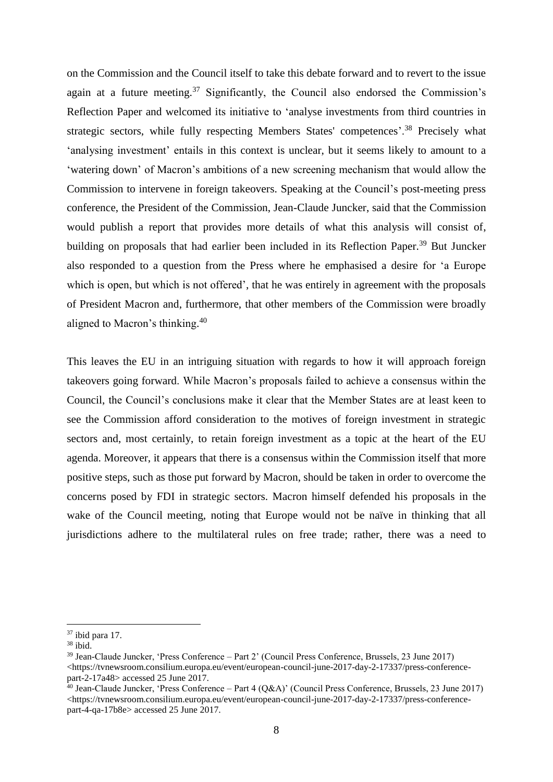on the Commission and the Council itself to take this debate forward and to revert to the issue again at a future meeting. $37$  Significantly, the Council also endorsed the Commission's Reflection Paper and welcomed its initiative to 'analyse investments from third countries in strategic sectors, while fully respecting Members States' competences'.<sup>38</sup> Precisely what 'analysing investment' entails in this context is unclear, but it seems likely to amount to a 'watering down' of Macron's ambitions of a new screening mechanism that would allow the Commission to intervene in foreign takeovers. Speaking at the Council's post-meeting press conference, the President of the Commission, Jean-Claude Juncker, said that the Commission would publish a report that provides more details of what this analysis will consist of, building on proposals that had earlier been included in its Reflection Paper.<sup>39</sup> But Juncker also responded to a question from the Press where he emphasised a desire for 'a Europe which is open, but which is not offered', that he was entirely in agreement with the proposals of President Macron and, furthermore, that other members of the Commission were broadly aligned to Macron's thinking. 40

This leaves the EU in an intriguing situation with regards to how it will approach foreign takeovers going forward. While Macron's proposals failed to achieve a consensus within the Council, the Council's conclusions make it clear that the Member States are at least keen to see the Commission afford consideration to the motives of foreign investment in strategic sectors and, most certainly, to retain foreign investment as a topic at the heart of the EU agenda. Moreover, it appears that there is a consensus within the Commission itself that more positive steps, such as those put forward by Macron, should be taken in order to overcome the concerns posed by FDI in strategic sectors. Macron himself defended his proposals in the wake of the Council meeting, noting that Europe would not be naïve in thinking that all jurisdictions adhere to the multilateral rules on free trade; rather, there was a need to

 $37$  ibid para 17.

 $38$  ibid.

<sup>39</sup> Jean-Claude Juncker, 'Press Conference – Part 2' (Council Press Conference, Brussels, 23 June 2017)  $\langle$ https://tvnewsroom.consilium.europa.eu/event/european-council-june-2017-day-2-17337/press-conference[part-2-17a48>](https://tvnewsroom.consilium.europa.eu/event/european-council-june-2017-day-2-17337/press-conference-part-2-17a48) accessed 25 June 2017.

 $40$  Jean-Claude Juncker, 'Press Conference – Part 4 (O&A)' (Council Press Conference, Brussels, 23 June 2017) [<https://tvnewsroom.consilium.europa.eu/event/european-council-june-2017-day-2-17337/press-conference](https://tvnewsroom.consilium.europa.eu/event/european-council-june-2017-day-2-17337/press-conference-part-4-qa-17b8e)[part-4-qa-17b8e>](https://tvnewsroom.consilium.europa.eu/event/european-council-june-2017-day-2-17337/press-conference-part-4-qa-17b8e) accessed 25 June 2017.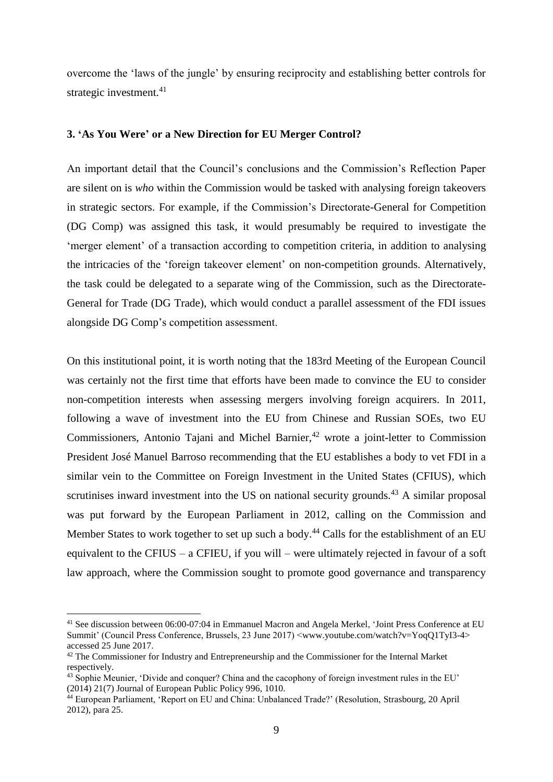overcome the 'laws of the jungle' by ensuring reciprocity and establishing better controls for strategic investment.<sup>41</sup>

#### **3. 'As You Were' or a New Direction for EU Merger Control?**

An important detail that the Council's conclusions and the Commission's Reflection Paper are silent on is *who* within the Commission would be tasked with analysing foreign takeovers in strategic sectors. For example, if the Commission's Directorate-General for Competition (DG Comp) was assigned this task, it would presumably be required to investigate the 'merger element' of a transaction according to competition criteria, in addition to analysing the intricacies of the 'foreign takeover element' on non-competition grounds. Alternatively, the task could be delegated to a separate wing of the Commission, such as the Directorate-General for Trade (DG Trade), which would conduct a parallel assessment of the FDI issues alongside DG Comp's competition assessment.

On this institutional point, it is worth noting that the 183rd Meeting of the European Council was certainly not the first time that efforts have been made to convince the EU to consider non-competition interests when assessing mergers involving foreign acquirers. In 2011, following a wave of investment into the EU from Chinese and Russian SOEs, two EU Commissioners, Antonio Tajani and Michel Barnier, $42$  wrote a joint-letter to Commission President José Manuel Barroso recommending that the EU establishes a body to vet FDI in a similar vein to the Committee on Foreign Investment in the United States (CFIUS), which scrutinises inward investment into the US on national security grounds.<sup>43</sup> A similar proposal was put forward by the European Parliament in 2012, calling on the Commission and Member States to work together to set up such a body.<sup>44</sup> Calls for the establishment of an EU equivalent to the CFIUS – a CFIEU, if you will – were ultimately rejected in favour of a soft law approach, where the Commission sought to promote good governance and transparency

<sup>41</sup> See discussion between 06:00-07:04 in Emmanuel Macron and Angela Merkel, 'Joint Press Conference at EU Summit' (Council Press Conference, Brussels, 23 June 2017) [<www.youtube.com/watch?v=YoqQ1TyI3-4>](www.youtube.com/watch?v=YoqQ1TyI3-4) accessed 25 June 2017.

<sup>&</sup>lt;sup>42</sup> The Commissioner for Industry and Entrepreneurship and the Commissioner for the Internal Market respectively.

<sup>43</sup> Sophie Meunier, 'Divide and conquer? China and the cacophony of foreign investment rules in the EU' (2014) 21(7) Journal of European Public Policy 996, 1010.

<sup>44</sup> European Parliament, 'Report on EU and China: Unbalanced Trade?' (Resolution, Strasbourg, 20 April 2012), para 25.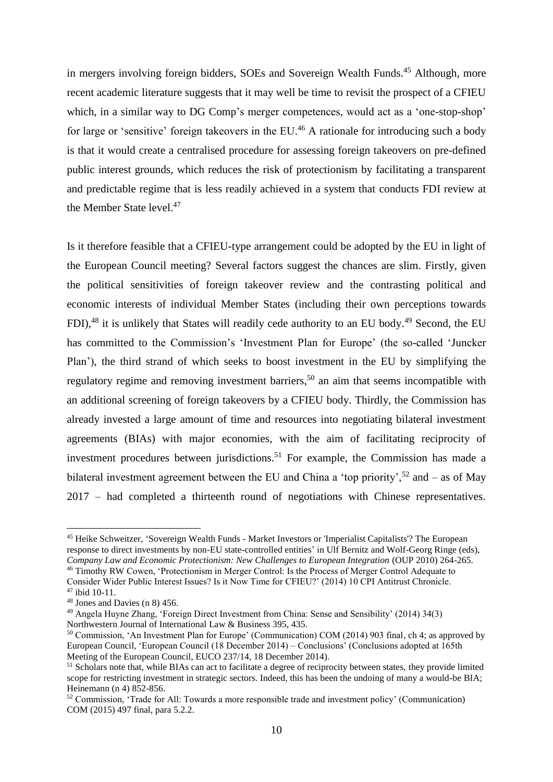in mergers involving foreign bidders, SOEs and Sovereign Wealth Funds.<sup>45</sup> Although, more recent academic literature suggests that it may well be time to revisit the prospect of a CFIEU which, in a similar way to DG Comp's merger competences, would act as a 'one-stop-shop' for large or 'sensitive' foreign takeovers in the EU.<sup>46</sup> A rationale for introducing such a body is that it would create a centralised procedure for assessing foreign takeovers on pre-defined public interest grounds, which reduces the risk of protectionism by facilitating a transparent and predictable regime that is less readily achieved in a system that conducts FDI review at the Member State level.<sup>47</sup>

Is it therefore feasible that a CFIEU-type arrangement could be adopted by the EU in light of the European Council meeting? Several factors suggest the chances are slim. Firstly, given the political sensitivities of foreign takeover review and the contrasting political and economic interests of individual Member States (including their own perceptions towards FDI),<sup>48</sup> it is unlikely that States will readily cede authority to an EU body.<sup>49</sup> Second, the EU has committed to the Commission's 'Investment Plan for Europe' (the so-called 'Juncker Plan'), the third strand of which seeks to boost investment in the EU by simplifying the regulatory regime and removing investment barriers,<sup>50</sup> an aim that seems incompatible with an additional screening of foreign takeovers by a CFIEU body. Thirdly, the Commission has already invested a large amount of time and resources into negotiating bilateral investment agreements (BIAs) with major economies, with the aim of facilitating reciprocity of investment procedures between jurisdictions.<sup>51</sup> For example, the Commission has made a bilateral investment agreement between the EU and China a 'top priority',  $52$  and – as of May 2017 – had completed a thirteenth round of negotiations with Chinese representatives.

<sup>45</sup> Heike Schweitzer, 'Sovereign Wealth Funds - Market Investors or 'Imperialist Capitalists'? The European response to direct investments by non-EU state-controlled entities' in Ulf Bernitz and Wolf-Georg Ringe (eds), *Company Law and Economic Protectionism: New Challenges to European Integration* (OUP 2010) 264-265. <sup>46</sup> Timothy RW Cowen, 'Protectionism in Merger Control: Is the Process of Merger Control Adequate to

Consider Wider Public Interest Issues? Is it Now Time for CFIEU?' (2014) 10 CPI Antitrust Chronicle. <sup>47</sup> ibid 10-11.

<sup>48</sup> Jones and Davies (n 8) 456.

<sup>49</sup> Angela Huyne Zhang, 'Foreign Direct Investment from China: Sense and Sensibility' (2014) 34(3) Northwestern Journal of International Law & Business 395, 435.

<sup>50</sup> Commission, 'An Investment Plan for Europe' (Communication) COM (2014) 903 final, ch 4; as approved by European Council, 'European Council (18 December 2014) – Conclusions' (Conclusions adopted at 165th Meeting of the European Council, EUCO 237/14, 18 December 2014).

<sup>&</sup>lt;sup>51</sup> Scholars note that, while BIAs can act to facilitate a degree of reciprocity between states, they provide limited scope for restricting investment in strategic sectors. Indeed, this has been the undoing of many a would-be BIA; Heinemann (n 4) 852-856.

<sup>52</sup> Commission, 'Trade for All: Towards a more responsible trade and investment policy' (Communication) COM (2015) 497 final, para 5.2.2.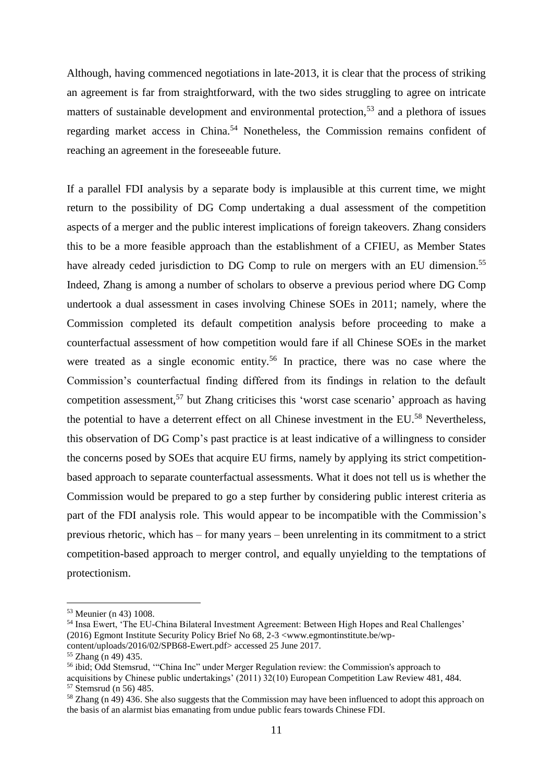Although, having commenced negotiations in late-2013, it is clear that the process of striking an agreement is far from straightforward, with the two sides struggling to agree on intricate matters of sustainable development and environmental protection,<sup>53</sup> and a plethora of issues regarding market access in China.<sup>54</sup> Nonetheless, the Commission remains confident of reaching an agreement in the foreseeable future.

If a parallel FDI analysis by a separate body is implausible at this current time, we might return to the possibility of DG Comp undertaking a dual assessment of the competition aspects of a merger and the public interest implications of foreign takeovers. Zhang considers this to be a more feasible approach than the establishment of a CFIEU, as Member States have already ceded jurisdiction to DG Comp to rule on mergers with an EU dimension.<sup>55</sup> Indeed, Zhang is among a number of scholars to observe a previous period where DG Comp undertook a dual assessment in cases involving Chinese SOEs in 2011; namely, where the Commission completed its default competition analysis before proceeding to make a counterfactual assessment of how competition would fare if all Chinese SOEs in the market were treated as a single economic entity.<sup>56</sup> In practice, there was no case where the Commission's counterfactual finding differed from its findings in relation to the default competition assessment,<sup>57</sup> but Zhang criticises this 'worst case scenario' approach as having the potential to have a deterrent effect on all Chinese investment in the EU.<sup>58</sup> Nevertheless, this observation of DG Comp's past practice is at least indicative of a willingness to consider the concerns posed by SOEs that acquire EU firms, namely by applying its strict competitionbased approach to separate counterfactual assessments. What it does not tell us is whether the Commission would be prepared to go a step further by considering public interest criteria as part of the FDI analysis role. This would appear to be incompatible with the Commission's previous rhetoric, which has – for many years – been unrelenting in its commitment to a strict competition-based approach to merger control, and equally unyielding to the temptations of protectionism.

<sup>53</sup> Meunier (n 43) 1008.

<sup>54</sup> Insa Ewert, 'The EU-China Bilateral Investment Agreement: Between High Hopes and Real Challenges' (2016) Egmont Institute Security Policy Brief No 68, 2-3 [<www.egmontinstitute.be/wp](www.egmontinstitute.be/wp-content/uploads/2016/02/SPB68-Ewert.pdf)[content/uploads/2016/02/SPB68-Ewert.pdf>](www.egmontinstitute.be/wp-content/uploads/2016/02/SPB68-Ewert.pdf) accessed 25 June 2017.

 $55$  Zhang (n 49) 435.

<sup>56</sup> ibid; Odd Stemsrud, '"China Inc" under Merger Regulation review: the Commission's approach to acquisitions by Chinese public undertakings' (2011) 32(10) European Competition Law Review 481, 484. <sup>57</sup> Stemsrud (n 56) 485.

<sup>58</sup> Zhang (n 49) 436. She also suggests that the Commission may have been influenced to adopt this approach on the basis of an alarmist bias emanating from undue public fears towards Chinese FDI.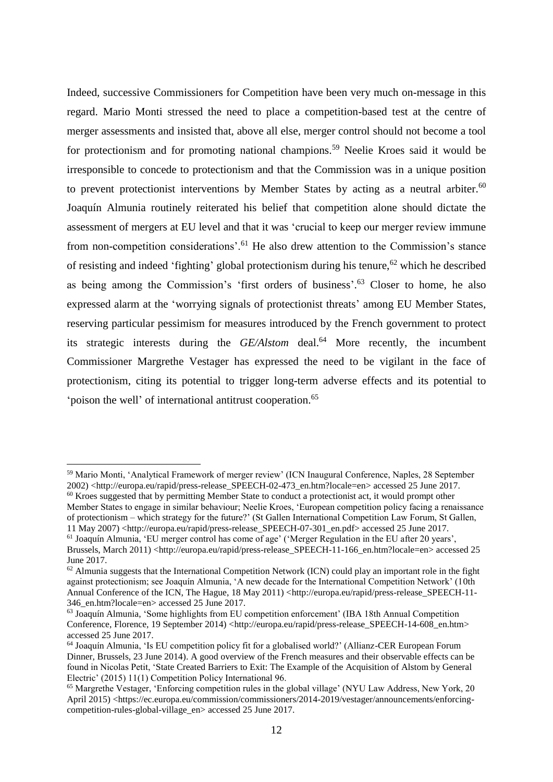Indeed, successive Commissioners for Competition have been very much on-message in this regard. Mario Monti stressed the need to place a competition-based test at the centre of merger assessments and insisted that, above all else, merger control should not become a tool for protectionism and for promoting national champions.<sup>59</sup> Neelie Kroes said it would be irresponsible to concede to protectionism and that the Commission was in a unique position to prevent protectionist interventions by Member States by acting as a neutral arbiter.<sup>60</sup> Joaquín Almunia routinely reiterated his belief that competition alone should dictate the assessment of mergers at EU level and that it was 'crucial to keep our merger review immune from non-competition considerations'.<sup>61</sup> He also drew attention to the Commission's stance of resisting and indeed 'fighting' global protectionism during his tenure, <sup>62</sup> which he described as being among the Commission's 'first orders of business'.<sup>63</sup> Closer to home, he also expressed alarm at the 'worrying signals of protectionist threats' among EU Member States, reserving particular pessimism for measures introduced by the French government to protect its strategic interests during the *GE/Alstom* deal. <sup>64</sup> More recently, the incumbent Commissioner Margrethe Vestager has expressed the need to be vigilant in the face of protectionism, citing its potential to trigger long-term adverse effects and its potential to 'poison the well' of international antitrust cooperation.<sup>65</sup>

<sup>59</sup> Mario Monti, 'Analytical Framework of merger review' (ICN Inaugural Conference, Naples, 28 September 2002) [<http://europa.eu/rapid/press-release\\_SPEECH-02-473\\_en.htm?locale=en>](http://europa.eu/rapid/press-release_SPEECH-02-473_en.htm?locale=en) accessed 25 June 2017. <sup>60</sup> Kroes suggested that by permitting Member State to conduct a protectionist act, it would prompt other

Member States to engage in similar behaviour; Neelie Kroes, 'European competition policy facing a renaissance of protectionism – which strategy for the future?' (St Gallen International Competition Law Forum, St Gallen, 11 May 2007) [<http://europa.eu/rapid/press-release\\_SPEECH-07-301\\_en.pdf>](http://europa.eu/rapid/press-release_SPEECH-07-301_en.pdf) accessed 25 June 2017.

<sup>61</sup> Joaquín Almunia, 'EU merger control has come of age' ('Merger Regulation in the EU after 20 years', Brussels, March 2011) [<http://europa.eu/rapid/press-release\\_SPEECH-11-166\\_en.htm?locale=en>](http://europa.eu/rapid/press-release_SPEECH-11-166_en.htm?locale=en) accessed 25 June 2017.

 $62$  Almunia suggests that the International Competition Network (ICN) could play an important role in the fight against protectionism; see Joaquín Almunia, 'A new decade for the International Competition Network' (10th Annual Conference of the ICN, The Hague, 18 May 2011) [<http://europa.eu/rapid/press-release\\_SPEECH-11-](http://europa.eu/rapid/press-release_SPEECH-11-346_en.htm?locale=en) [346\\_en.htm?locale=en>](http://europa.eu/rapid/press-release_SPEECH-11-346_en.htm?locale=en) accessed 25 June 2017.

<sup>63</sup> Joaquín Almunia, 'Some highlights from EU competition enforcement' (IBA 18th Annual Competition Conference, Florence, 19 September 2014) [<http://europa.eu/rapid/press-release\\_SPEECH-14-608\\_en.htm>](http://europa.eu/rapid/press-release_SPEECH-14-608_en.htm) accessed 25 June 2017.

<sup>64</sup> Joaquín Almunia, 'Is EU competition policy fit for a globalised world?' (Allianz-CER European Forum Dinner, Brussels, 23 June 2014). A good overview of the French measures and their observable effects can be found in Nicolas Petit, 'State Created Barriers to Exit: The Example of the Acquisition of Alstom by General Electric' (2015) 11(1) Competition Policy International 96.

<sup>65</sup> Margrethe Vestager, 'Enforcing competition rules in the global village' (NYU Law Address, New York, 20 April 2015) [<https://ec.europa.eu/commission/commissioners/2014-2019/vestager/announcements/enforcing](https://ec.europa.eu/commission/commissioners/2014-2019/vestager/announcements/enforcing-competition-rules-global-village_en)[competition-rules-global-village\\_en>](https://ec.europa.eu/commission/commissioners/2014-2019/vestager/announcements/enforcing-competition-rules-global-village_en) accessed 25 June 2017.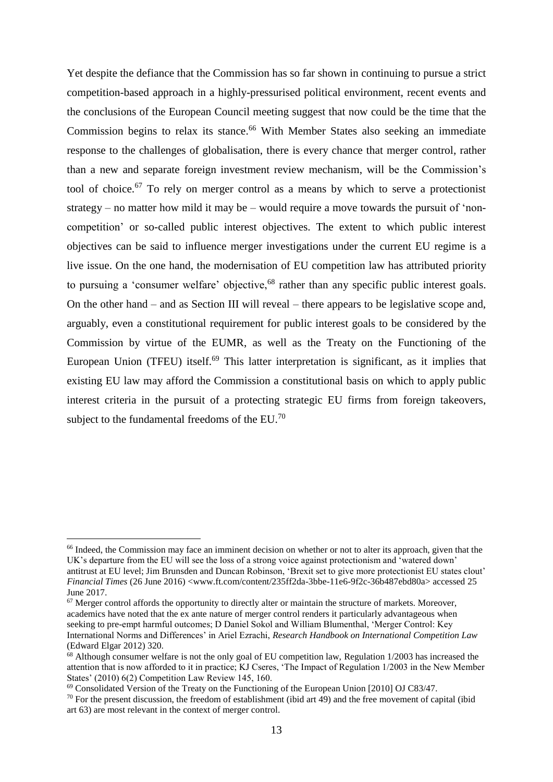Yet despite the defiance that the Commission has so far shown in continuing to pursue a strict competition-based approach in a highly-pressurised political environment, recent events and the conclusions of the European Council meeting suggest that now could be the time that the Commission begins to relax its stance. <sup>66</sup> With Member States also seeking an immediate response to the challenges of globalisation, there is every chance that merger control, rather than a new and separate foreign investment review mechanism, will be the Commission's tool of choice. <sup>67</sup> To rely on merger control as a means by which to serve a protectionist strategy – no matter how mild it may be – would require a move towards the pursuit of 'noncompetition' or so-called public interest objectives. The extent to which public interest objectives can be said to influence merger investigations under the current EU regime is a live issue. On the one hand, the modernisation of EU competition law has attributed priority to pursuing a 'consumer welfare' objective,  $68$  rather than any specific public interest goals. On the other hand – and as Section III will reveal – there appears to be legislative scope and, arguably, even a constitutional requirement for public interest goals to be considered by the Commission by virtue of the EUMR, as well as the Treaty on the Functioning of the European Union (TFEU) itself.<sup>69</sup> This latter interpretation is significant, as it implies that existing EU law may afford the Commission a constitutional basis on which to apply public interest criteria in the pursuit of a protecting strategic EU firms from foreign takeovers, subject to the fundamental freedoms of the  $EU^{70}$ .

<sup>&</sup>lt;sup>66</sup> Indeed, the Commission may face an imminent decision on whether or not to alter its approach, given that the UK's departure from the EU will see the loss of a strong voice against protectionism and 'watered down' antitrust at EU level; Jim Brunsden and Duncan Robinson, 'Brexit set to give more protectionist EU states clout' *Financial Times* (26 June 2016) [<www.ft.com/content/235ff2da-3bbe-11e6-9f2c-36b487ebd80a>](www.ft.com/content/235ff2da-3bbe-11e6-9f2c-36b487ebd80a) accessed 25 June 2017.

<sup>&</sup>lt;sup>67</sup> Merger control affords the opportunity to directly alter or maintain the structure of markets. Moreover, academics have noted that the ex ante nature of merger control renders it particularly advantageous when seeking to pre-empt harmful outcomes; D Daniel Sokol and William Blumenthal, 'Merger Control: Key International Norms and Differences' in Ariel Ezrachi, *Research Handbook on International Competition Law* (Edward Elgar 2012) 320.

<sup>68</sup> Although consumer welfare is not the only goal of EU competition law, Regulation 1/2003 has increased the attention that is now afforded to it in practice; KJ Cseres, 'The Impact of Regulation 1/2003 in the New Member States' (2010) 6(2) Competition Law Review 145, 160.

 $^{69}$  Consolidated Version of the Treaty on the Functioning of the European Union [2010] OJ C83/47.

 $70$  For the present discussion, the freedom of establishment (ibid art 49) and the free movement of capital (ibid art 63) are most relevant in the context of merger control.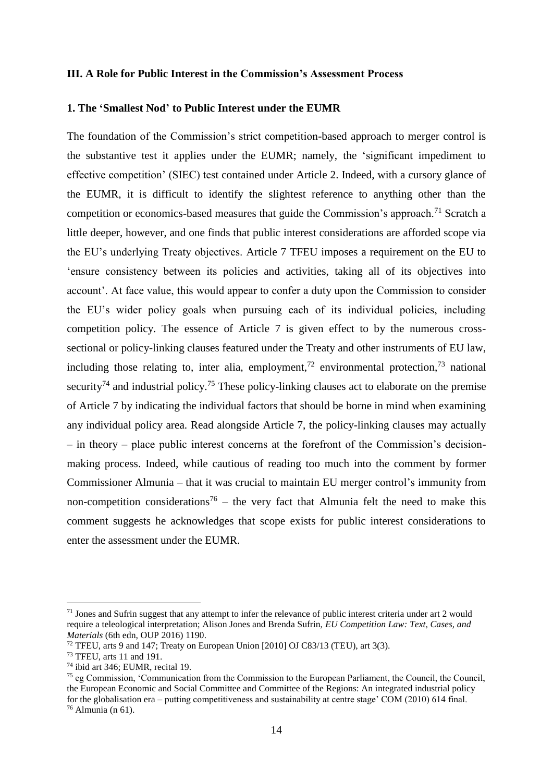#### **III. A Role for Public Interest in the Commission's Assessment Process**

#### **1. The 'Smallest Nod' to Public Interest under the EUMR**

The foundation of the Commission's strict competition-based approach to merger control is the substantive test it applies under the EUMR; namely, the 'significant impediment to effective competition' (SIEC) test contained under Article 2. Indeed, with a cursory glance of the EUMR, it is difficult to identify the slightest reference to anything other than the competition or economics-based measures that guide the Commission's approach.<sup>71</sup> Scratch a little deeper, however, and one finds that public interest considerations are afforded scope via the EU's underlying Treaty objectives. Article 7 TFEU imposes a requirement on the EU to 'ensure consistency between its policies and activities, taking all of its objectives into account'. At face value, this would appear to confer a duty upon the Commission to consider the EU's wider policy goals when pursuing each of its individual policies, including competition policy. The essence of Article 7 is given effect to by the numerous crosssectional or policy-linking clauses featured under the Treaty and other instruments of EU law, including those relating to, inter alia, employment,<sup>72</sup> environmental protection,<sup>73</sup> national security<sup>74</sup> and industrial policy.<sup>75</sup> These policy-linking clauses act to elaborate on the premise of Article 7 by indicating the individual factors that should be borne in mind when examining any individual policy area. Read alongside Article 7, the policy-linking clauses may actually – in theory – place public interest concerns at the forefront of the Commission's decisionmaking process. Indeed, while cautious of reading too much into the comment by former Commissioner Almunia – that it was crucial to maintain EU merger control's immunity from non-competition considerations<sup>76</sup> – the very fact that Almunia felt the need to make this comment suggests he acknowledges that scope exists for public interest considerations to enter the assessment under the EUMR.

 $71$  Jones and Sufrin suggest that any attempt to infer the relevance of public interest criteria under art 2 would require a teleological interpretation; Alison Jones and Brenda Sufrin, *EU Competition Law: Text, Cases, and Materials* (6th edn, OUP 2016) 1190.

<sup>&</sup>lt;sup>72</sup> TFEU, arts 9 and 147; Treaty on European Union [2010] OJ C83/13 (TEU), art 3(3).

<sup>73</sup> TFEU, arts 11 and 191.

<sup>74</sup> ibid art 346; EUMR, recital 19.

<sup>75</sup> eg Commission, 'Communication from the Commission to the European Parliament, the Council, the Council, the European Economic and Social Committee and Committee of the Regions: An integrated industrial policy for the globalisation era – putting competitiveness and sustainability at centre stage' COM (2010) 614 final.  $76$  Almunia (n 61).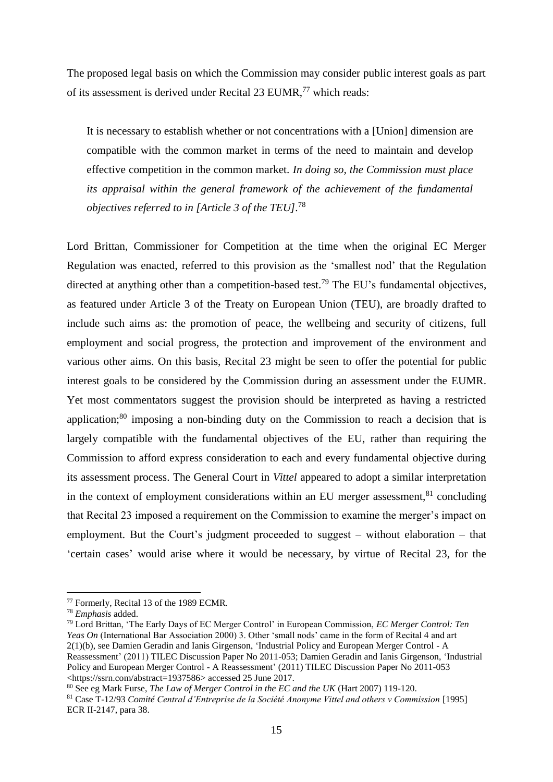The proposed legal basis on which the Commission may consider public interest goals as part of its assessment is derived under Recital 23 EUMR,<sup>77</sup> which reads:

It is necessary to establish whether or not concentrations with a [Union] dimension are compatible with the common market in terms of the need to maintain and develop effective competition in the common market. *In doing so, the Commission must place its appraisal within the general framework of the achievement of the fundamental objectives referred to in [Article 3 of the TEU].*<sup>78</sup>

Lord Brittan, Commissioner for Competition at the time when the original EC Merger Regulation was enacted, referred to this provision as the 'smallest nod' that the Regulation directed at anything other than a competition-based test.<sup>79</sup> The EU's fundamental objectives, as featured under Article 3 of the Treaty on European Union (TEU), are broadly drafted to include such aims as: the promotion of peace, the wellbeing and security of citizens, full employment and social progress, the protection and improvement of the environment and various other aims. On this basis, Recital 23 might be seen to offer the potential for public interest goals to be considered by the Commission during an assessment under the EUMR. Yet most commentators suggest the provision should be interpreted as having a restricted application;<sup>80</sup> imposing a non-binding duty on the Commission to reach a decision that is largely compatible with the fundamental objectives of the EU, rather than requiring the Commission to afford express consideration to each and every fundamental objective during its assessment process. The General Court in *Vittel* appeared to adopt a similar interpretation in the context of employment considerations within an EU merger assessment, $81$  concluding that Recital 23 imposed a requirement on the Commission to examine the merger's impact on employment. But the Court's judgment proceeded to suggest – without elaboration – that 'certain cases' would arise where it would be necessary, by virtue of Recital 23, for the

<sup>77</sup> Formerly, Recital 13 of the 1989 ECMR.

<sup>78</sup> *Emphasis* added.

<sup>79</sup> Lord Brittan, 'The Early Days of EC Merger Control' in European Commission, *EC Merger Control: Ten Yeas On* (International Bar Association 2000) 3. Other 'small nods' came in the form of Recital 4 and art 2(1)(b), see Damien Geradin and Ianis Girgenson, 'Industrial Policy and European Merger Control - A Reassessment' (2011) TILEC Discussion Paper No 2011-053; Damien Geradin and Ianis Girgenson, 'Industrial Policy and European Merger Control - A Reassessment' (2011) TILEC Discussion Paper No 2011-053 [<https://ssrn.com/abstract=1937586>](https://ssrn.com/abstract=1937586) accessed 25 June 2017.

<sup>80</sup> See eg Mark Furse, *The Law of Merger Control in the EC and the UK* (Hart 2007) 119-120.

<sup>81</sup> Case T-12/93 *Comité Central d'Entreprise de la Société Anonyme Vittel and others v Commission* [1995] ECR II-2147, para 38.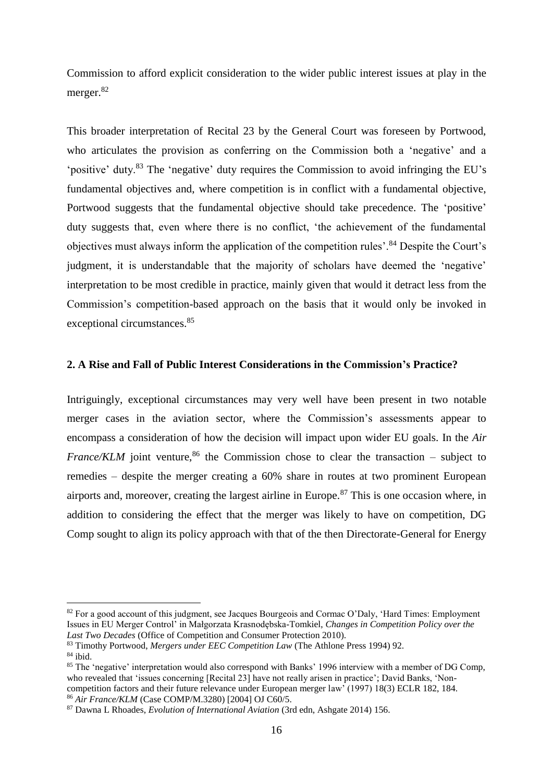Commission to afford explicit consideration to the wider public interest issues at play in the merger.<sup>82</sup>

This broader interpretation of Recital 23 by the General Court was foreseen by Portwood, who articulates the provision as conferring on the Commission both a 'negative' and a 'positive' duty.<sup>83</sup> The 'negative' duty requires the Commission to avoid infringing the EU's fundamental objectives and, where competition is in conflict with a fundamental objective, Portwood suggests that the fundamental objective should take precedence. The 'positive' duty suggests that, even where there is no conflict, 'the achievement of the fundamental objectives must always inform the application of the competition rules'.<sup>84</sup> Despite the Court's judgment, it is understandable that the majority of scholars have deemed the 'negative' interpretation to be most credible in practice, mainly given that would it detract less from the Commission's competition-based approach on the basis that it would only be invoked in exceptional circumstances. 85

# **2. A Rise and Fall of Public Interest Considerations in the Commission's Practice?**

Intriguingly, exceptional circumstances may very well have been present in two notable merger cases in the aviation sector, where the Commission's assessments appear to encompass a consideration of how the decision will impact upon wider EU goals. In the *Air France/KLM* joint venture,  $86$  the Commission chose to clear the transaction – subject to remedies – despite the merger creating a 60% share in routes at two prominent European airports and, moreover, creating the largest airline in Europe.<sup>87</sup> This is one occasion where, in addition to considering the effect that the merger was likely to have on competition, DG Comp sought to align its policy approach with that of the then Directorate-General for Energy

<sup>&</sup>lt;sup>82</sup> For a good account of this judgment, see Jacques Bourgeois and Cormac O'Daly, 'Hard Times: Employment Issues in EU Merger Control' in Małgorzata Krasnodębska-Tomkiel, *Changes in Competition Policy over the Last Two Decades* (Office of Competition and Consumer Protection 2010).

<sup>83</sup> Timothy Portwood, *Mergers under EEC Competition Law* (The Athlone Press 1994) 92.

 $84$  ibid.

<sup>&</sup>lt;sup>85</sup> The 'negative' interpretation would also correspond with Banks' 1996 interview with a member of DG Comp, who revealed that 'issues concerning [Recital 23] have not really arisen in practice'; David Banks, 'Noncompetition factors and their future relevance under European merger law' (1997) 18(3) ECLR 182, 184. <sup>86</sup> *Air France/KLM* (Case COMP/M.3280) [2004] OJ C60/5.

<sup>87</sup> Dawna L Rhoades, *Evolution of International Aviation* (3rd edn, Ashgate 2014) 156.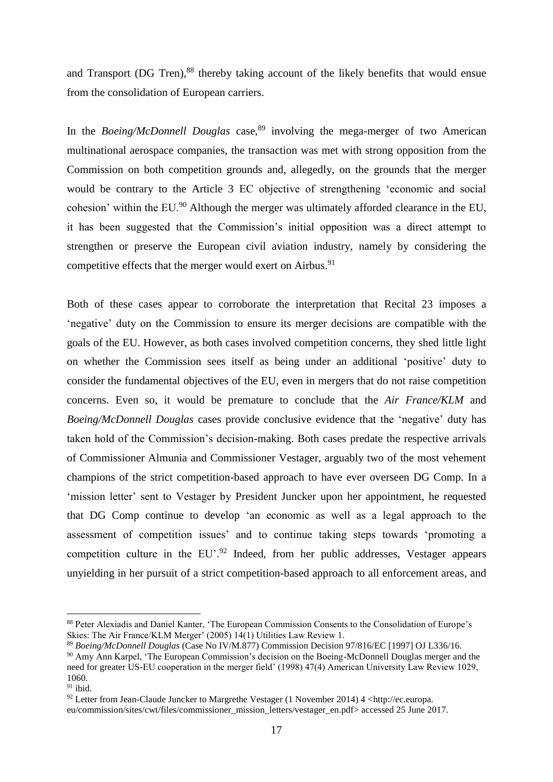and Transport (DG Tren), <sup>88</sup> thereby taking account of the likely benefits that would ensue from the consolidation of European carriers.

In the *Boeing/McDonnell Douglas* case,<sup>89</sup> involving the mega-merger of two American multinational aerospace companies, the transaction was met with strong opposition from the Commission on both competition grounds and, allegedly, on the grounds that the merger would be contrary to the Article 3 EC objective of strengthening 'economic and social cohesion' within the EU.<sup>90</sup> Although the merger was ultimately afforded clearance in the EU, it has been suggested that the Commission's initial opposition was a direct attempt to strengthen or preserve the European civil aviation industry, namely by considering the competitive effects that the merger would exert on Airbus.<sup>91</sup>

Both of these cases appear to corroborate the interpretation that Recital 23 imposes a 'negative' duty on the Commission to ensure its merger decisions are compatible with the goals of the EU. However, as both cases involved competition concerns, they shed little light on whether the Commission sees itself as being under an additional 'positive' duty to consider the fundamental objectives of the EU, even in mergers that do not raise competition concerns. Even so, it would be premature to conclude that the *Air France/KLM* and *Boeing/McDonnell Douglas* cases provide conclusive evidence that the 'negative' duty has taken hold of the Commission's decision-making. Both cases predate the respective arrivals of Commissioner Almunia and Commissioner Vestager, arguably two of the most vehement champions of the strict competition-based approach to have ever overseen DG Comp. In a 'mission letter' sent to Vestager by President Juncker upon her appointment, he requested that DG Comp continue to develop 'an economic as well as a legal approach to the assessment of competition issues' and to continue taking steps towards 'promoting a competition culture in the  $EU^2$ . Indeed, from her public addresses, Vestager appears unyielding in her pursuit of a strict competition-based approach to all enforcement areas, and

<sup>88</sup> Peter Alexiadis and Daniel Kanter, 'The European Commission Consents to the Consolidation of Europe's Skies: The Air France/KLM Merger' (2005) 14(1) Utilities Law Review 1.

<sup>89</sup> *Boeing/McDonnell Douglas* (Case No IV/M.877) Commission Decision 97/816/EC [1997] OJ L336/16. <sup>90</sup> Amy Ann Karpel, 'The European Commission's decision on the Boeing-McDonnell Douglas merger and the need for greater US-EU cooperation in the merger field' (1998) 47(4) American University Law Review 1029, 1060.

 $91$  ibid.

<sup>92</sup> Letter from Jean-Claude Juncker to Margrethe Vestager (1 November 2014) 4 [<http://ec.europa.](http://ec.europa.eu/commission/sites/cwt/files/commissioner_mission_letters/vestager_en.pdf) [eu/commission/sites/cwt/files/commissioner\\_mission\\_letters/vestager\\_en.pdf>](http://ec.europa.eu/commission/sites/cwt/files/commissioner_mission_letters/vestager_en.pdf) accessed 25 June 2017.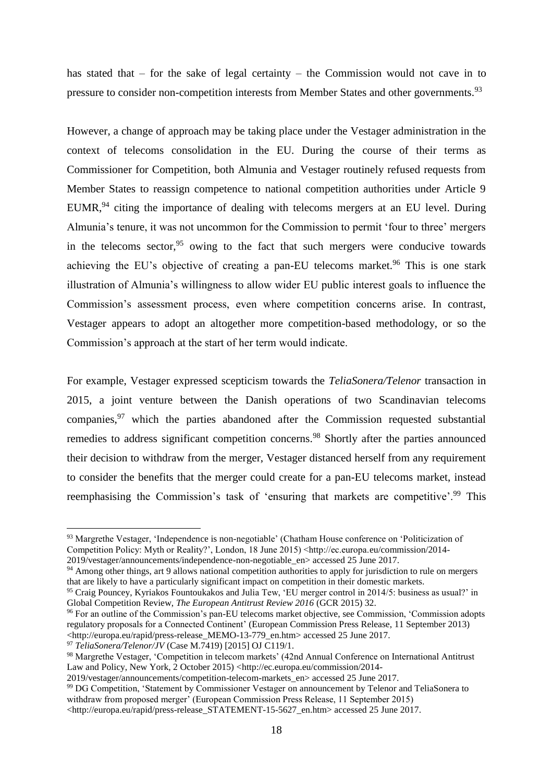has stated that – for the sake of legal certainty – the Commission would not cave in to pressure to consider non-competition interests from Member States and other governments.<sup>93</sup>

However, a change of approach may be taking place under the Vestager administration in the context of telecoms consolidation in the EU. During the course of their terms as Commissioner for Competition, both Almunia and Vestager routinely refused requests from Member States to reassign competence to national competition authorities under Article 9 EUMR, $94$  citing the importance of dealing with telecoms mergers at an EU level. During Almunia's tenure, it was not uncommon for the Commission to permit 'four to three' mergers in the telecoms sector,  $95$  owing to the fact that such mergers were conducive towards achieving the EU's objective of creating a pan-EU telecoms market.<sup>96</sup> This is one stark illustration of Almunia's willingness to allow wider EU public interest goals to influence the Commission's assessment process, even where competition concerns arise. In contrast, Vestager appears to adopt an altogether more competition-based methodology, or so the Commission's approach at the start of her term would indicate.

For example, Vestager expressed scepticism towards the *TeliaSonera/Telenor* transaction in 2015, a joint venture between the Danish operations of two Scandinavian telecoms companies,<sup>97</sup> which the parties abandoned after the Commission requested substantial remedies to address significant competition concerns.<sup>98</sup> Shortly after the parties announced their decision to withdraw from the merger, Vestager distanced herself from any requirement to consider the benefits that the merger could create for a pan-EU telecoms market, instead reemphasising the Commission's task of 'ensuring that markets are competitive'.<sup>99</sup> This

<sup>94</sup> Among other things, art 9 allows national competition authorities to apply for jurisdiction to rule on mergers that are likely to have a particularly significant impact on competition in their domestic markets.

<sup>97</sup> *TeliaSonera/Telenor/JV* (Case M.7419) [2015] OJ C119/1.

<sup>93</sup> Margrethe Vestager, 'Independence is non-negotiable' (Chatham House conference on 'Politicization of Competition Policy: Myth or Reality?', London, 18 June 2015) <http://ec.europa.eu/commission/2014- 2019/vestager/announcements/independence-non-negotiable\_en> accessed 25 June 2017.

<sup>95</sup> Craig Pouncey, Kyriakos Fountoukakos and Julia Tew, 'EU merger control in 2014/5: business as usual?' in Global Competition Review, *The European Antitrust Review 2016* (GCR 2015) 32.

<sup>&</sup>lt;sup>96</sup> For an outline of the Commission's pan-EU telecoms market objective, see Commission, 'Commission adopts' regulatory proposals for a Connected Continent' (European Commission Press Release, 11 September 2013) [<http://europa.eu/rapid/press-release\\_MEMO-13-779\\_en.htm>](http://europa.eu/rapid/press-release_MEMO-13-779_en.htm) accessed 25 June 2017.

<sup>98</sup> Margrethe Vestager, 'Competition in telecom markets' (42nd Annual Conference on International Antitrust Law and Policy, New York, 2 October 2015) [<http://ec.europa.eu/commission/2014-](http://ec.europa.eu/commission/2014-2019/vestager/announcements/competition-telecom-markets_en)

[<sup>2019/</sup>vestager/announcements/competition-telecom-markets\\_en>](http://ec.europa.eu/commission/2014-2019/vestager/announcements/competition-telecom-markets_en) accessed 25 June 2017.

<sup>&</sup>lt;sup>99</sup> DG Competition, 'Statement by Commissioner Vestager on announcement by Telenor and TeliaSonera to withdraw from proposed merger' (European Commission Press Release, 11 September 2015)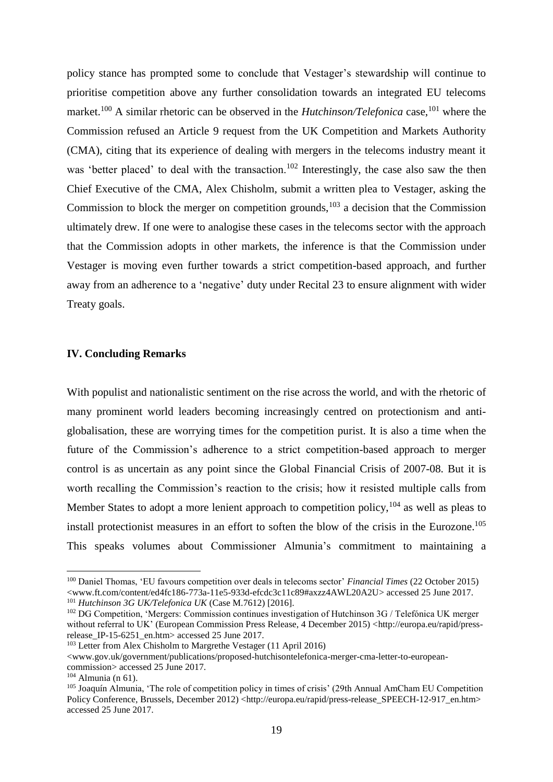policy stance has prompted some to conclude that Vestager's stewardship will continue to prioritise competition above any further consolidation towards an integrated EU telecoms market.<sup>100</sup> A similar rhetoric can be observed in the *Hutchinson/Telefonica* case,<sup>101</sup> where the Commission refused an Article 9 request from the UK Competition and Markets Authority (CMA), citing that its experience of dealing with mergers in the telecoms industry meant it was 'better placed' to deal with the transaction.<sup>102</sup> Interestingly, the case also saw the then Chief Executive of the CMA, Alex Chisholm, submit a written plea to Vestager, asking the Commission to block the merger on competition grounds,  $103$  a decision that the Commission ultimately drew. If one were to analogise these cases in the telecoms sector with the approach that the Commission adopts in other markets, the inference is that the Commission under Vestager is moving even further towards a strict competition-based approach, and further away from an adherence to a 'negative' duty under Recital 23 to ensure alignment with wider Treaty goals.

## **IV. Concluding Remarks**

With populist and nationalistic sentiment on the rise across the world, and with the rhetoric of many prominent world leaders becoming increasingly centred on protectionism and antiglobalisation, these are worrying times for the competition purist. It is also a time when the future of the Commission's adherence to a strict competition-based approach to merger control is as uncertain as any point since the Global Financial Crisis of 2007-08. But it is worth recalling the Commission's reaction to the crisis; how it resisted multiple calls from Member States to adopt a more lenient approach to competition policy,  $104$  as well as pleas to install protectionist measures in an effort to soften the blow of the crisis in the Eurozone. 105 This speaks volumes about Commissioner Almunia's commitment to maintaining a

<sup>100</sup> Daniel Thomas, 'EU favours competition over deals in telecoms sector' *Financial Times* (22 October 2015) [<www.ft.com/content/ed4fc186-773a-11e5-933d-efcdc3c11c89#axzz4AWL20A2U>](www.ft.com/content/ed4fc186-773a-11e5-933d-efcdc3c11c89%23axzz4AWL20A2U) accessed 25 June 2017. <sup>101</sup> *Hutchinson 3G UK/Telefonica UK* (Case M.7612) [2016].

<sup>&</sup>lt;sup>102</sup> DG Competition, 'Mergers: Commission continues investigation of Hutchinson 3G / Telefónica UK merger without referral to UK' (European Commission Press Release, 4 December 2015) [<http://europa.eu/rapid/press](http://europa.eu/rapid/press-release_IP-15-6251_en.htm)release IP-15-6251 en.htm> accessed 25 June 2017.

<sup>103</sup> Letter from Alex Chisholm to Margrethe Vestager (11 April 2016)

[<sup>&</sup>lt;www.gov.uk/government/publications/proposed-hutchisontelefonica-merger-cma-letter-to-european](www.gov.uk/government/publications/proposed-hutchisontelefonica-merger-cma-letter-to-european-commission)[commission>](www.gov.uk/government/publications/proposed-hutchisontelefonica-merger-cma-letter-to-european-commission) accessed 25 June 2017.

 $104$  Almunia (n 61).

<sup>105</sup> Joaquín Almunia, 'The role of competition policy in times of crisis' (29th Annual AmCham EU Competition Policy Conference, Brussels, December 2012) [<http://europa.eu/rapid/press-release\\_SPEECH-12-917\\_en.htm>](http://europa.eu/rapid/press-release_SPEECH-12-917_en.htm) accessed 25 June 2017.